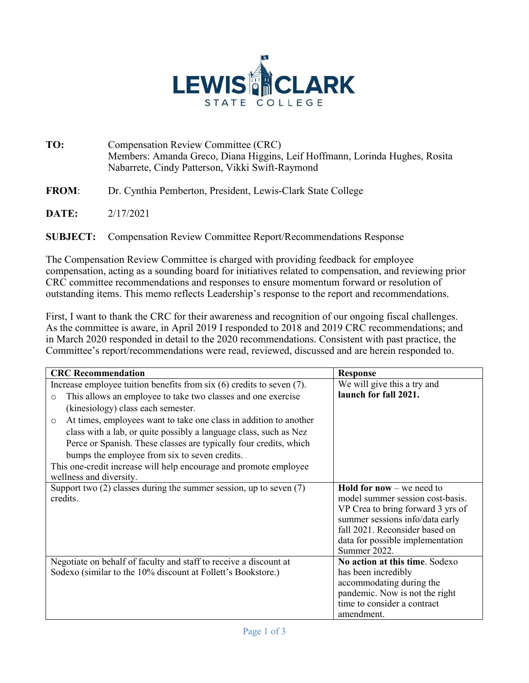

**TO:** Compensation Review Committee (CRC) Members: Amanda Greco, Diana Higgins, Leif Hoffmann, Lorinda Hughes, Rosita Nabarrete, Cindy Patterson, Vikki Swift-Raymond

**FROM**: Dr. Cynthia Pemberton, President, Lewis-Clark State College

**DATE:** 2/17/2021

**SUBJECT:** Compensation Review Committee Report/Recommendations Response

The Compensation Review Committee is charged with providing feedback for employee compensation, acting as a sounding board for initiatives related to compensation, and reviewing prior CRC committee recommendations and responses to ensure momentum forward or resolution of outstanding items. This memo reflects Leadership's response to the report and recommendations.

First, I want to thank the CRC for their awareness and recognition of our ongoing fiscal challenges. As the committee is aware, in April 2019 I responded to 2018 and 2019 CRC recommendations; and in March 2020 responded in detail to the 2020 recommendations. Consistent with past practice, the Committee's report/recommendations were read, reviewed, discussed and are herein responded to.

| <b>CRC</b> Recommendation                                                    | <b>Response</b>                    |
|------------------------------------------------------------------------------|------------------------------------|
| Increase employee tuition benefits from $\sin(6)$ credits to seven (7).      | We will give this a try and        |
| This allows an employee to take two classes and one exercise<br>$\Omega$     | launch for fall 2021.              |
| (kinesiology) class each semester.                                           |                                    |
| At times, employees want to take one class in addition to another<br>$\circ$ |                                    |
| class with a lab, or quite possibly a language class, such as Nez            |                                    |
| Perce or Spanish. These classes are typically four credits, which            |                                    |
| bumps the employee from six to seven credits.                                |                                    |
| This one-credit increase will help encourage and promote employee            |                                    |
| wellness and diversity.                                                      |                                    |
| Support two $(2)$ classes during the summer session, up to seven $(7)$       | <b>Hold for now</b> $-$ we need to |
| credits.                                                                     | model summer session cost-basis.   |
|                                                                              | VP Crea to bring forward 3 yrs of  |
|                                                                              | summer sessions info/data early    |
|                                                                              | fall 2021. Reconsider based on     |
|                                                                              | data for possible implementation   |
|                                                                              | Summer 2022.                       |
| Negotiate on behalf of faculty and staff to receive a discount at            | No action at this time. Sodexo     |
| Sodexo (similar to the 10% discount at Follett's Bookstore.)                 | has been incredibly                |
|                                                                              | accommodating during the           |
|                                                                              | pandemic. Now is not the right     |
|                                                                              | time to consider a contract        |
|                                                                              | amendment.                         |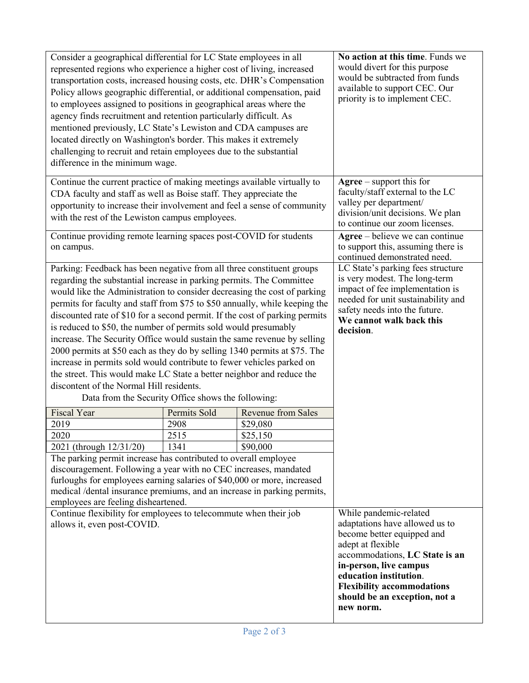| Consider a geographical differential for LC State employees in all<br>represented regions who experience a higher cost of living, increased<br>transportation costs, increased housing costs, etc. DHR's Compensation<br>Policy allows geographic differential, or additional compensation, paid<br>to employees assigned to positions in geographical areas where the<br>agency finds recruitment and retention particularly difficult. As<br>mentioned previously, LC State's Lewiston and CDA campuses are<br>located directly on Washington's border. This makes it extremely<br>challenging to recruit and retain employees due to the substantial<br>difference in the minimum wage.                                                                                                                                                                             |              |                           | No action at this time. Funds we<br>would divert for this purpose<br>would be subtracted from funds<br>available to support CEC. Our<br>priority is to implement CEC.                                                                                                                |
|------------------------------------------------------------------------------------------------------------------------------------------------------------------------------------------------------------------------------------------------------------------------------------------------------------------------------------------------------------------------------------------------------------------------------------------------------------------------------------------------------------------------------------------------------------------------------------------------------------------------------------------------------------------------------------------------------------------------------------------------------------------------------------------------------------------------------------------------------------------------|--------------|---------------------------|--------------------------------------------------------------------------------------------------------------------------------------------------------------------------------------------------------------------------------------------------------------------------------------|
| Continue the current practice of making meetings available virtually to<br>CDA faculty and staff as well as Boise staff. They appreciate the<br>opportunity to increase their involvement and feel a sense of community<br>with the rest of the Lewiston campus employees.                                                                                                                                                                                                                                                                                                                                                                                                                                                                                                                                                                                             |              |                           | $Agree - support this for$<br>faculty/staff external to the LC<br>valley per department/<br>division/unit decisions. We plan<br>to continue our zoom licenses.                                                                                                                       |
| Continue providing remote learning spaces post-COVID for students<br>on campus.                                                                                                                                                                                                                                                                                                                                                                                                                                                                                                                                                                                                                                                                                                                                                                                        |              |                           | Agree – believe we can continue<br>to support this, assuming there is<br>continued demonstrated need.                                                                                                                                                                                |
| Parking: Feedback has been negative from all three constituent groups<br>regarding the substantial increase in parking permits. The Committee<br>would like the Administration to consider decreasing the cost of parking<br>permits for faculty and staff from \$75 to \$50 annually, while keeping the<br>discounted rate of \$10 for a second permit. If the cost of parking permits<br>is reduced to \$50, the number of permits sold would presumably<br>increase. The Security Office would sustain the same revenue by selling<br>2000 permits at \$50 each as they do by selling 1340 permits at \$75. The<br>increase in permits sold would contribute to fewer vehicles parked on<br>the street. This would make LC State a better neighbor and reduce the<br>discontent of the Normal Hill residents.<br>Data from the Security Office shows the following: |              |                           | LC State's parking fees structure<br>is very modest. The long-term<br>impact of fee implementation is<br>needed for unit sustainability and<br>safety needs into the future.<br>We cannot walk back this<br>decision.                                                                |
| <b>Fiscal Year</b>                                                                                                                                                                                                                                                                                                                                                                                                                                                                                                                                                                                                                                                                                                                                                                                                                                                     | Permits Sold | <b>Revenue from Sales</b> |                                                                                                                                                                                                                                                                                      |
| 2019                                                                                                                                                                                                                                                                                                                                                                                                                                                                                                                                                                                                                                                                                                                                                                                                                                                                   | 2908         | \$29,080                  |                                                                                                                                                                                                                                                                                      |
| 2020                                                                                                                                                                                                                                                                                                                                                                                                                                                                                                                                                                                                                                                                                                                                                                                                                                                                   | 2515         | \$25,150                  |                                                                                                                                                                                                                                                                                      |
| 2021 (through 12/31/20)                                                                                                                                                                                                                                                                                                                                                                                                                                                                                                                                                                                                                                                                                                                                                                                                                                                | 1341         | \$90,000                  |                                                                                                                                                                                                                                                                                      |
| The parking permit increase has contributed to overall employee<br>discouragement. Following a year with no CEC increases, mandated<br>furloughs for employees earning salaries of \$40,000 or more, increased<br>medical /dental insurance premiums, and an increase in parking permits,<br>employees are feeling disheartened.                                                                                                                                                                                                                                                                                                                                                                                                                                                                                                                                       |              |                           |                                                                                                                                                                                                                                                                                      |
| Continue flexibility for employees to telecommute when their job<br>allows it, even post-COVID.                                                                                                                                                                                                                                                                                                                                                                                                                                                                                                                                                                                                                                                                                                                                                                        |              |                           | While pandemic-related<br>adaptations have allowed us to<br>become better equipped and<br>adept at flexible<br>accommodations, LC State is an<br>in-person, live campus<br>education institution.<br><b>Flexibility accommodations</b><br>should be an exception, not a<br>new norm. |